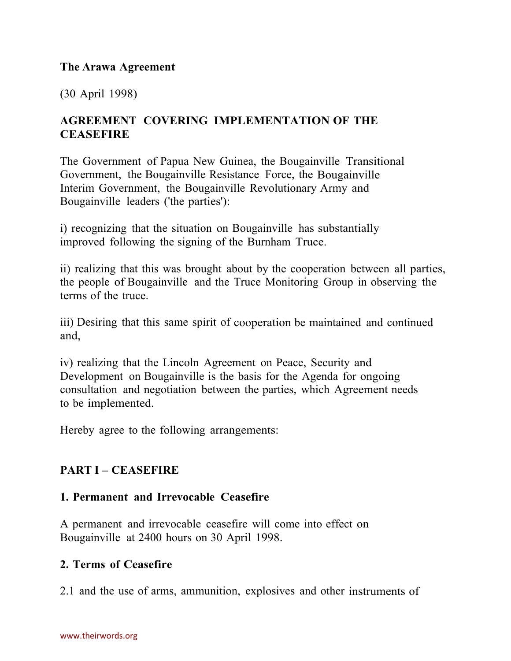#### **The Arawa Agreement**

(30 April 1998)

### **AGREEMENT COVERING IMPLEMENTATION OF THE CEASEFIRE**

The Government of Papua New Guinea, the Bougainville Transitional Government, the Bougainville Resistance Force, the Bougainville Interim Government, the Bougainville Revolutionary Army and Bougainville leaders ('the parties'):

i) recognizing that the situation on Bougainville has substantially improved following the signing of the Burnham Truce.

ii) realizing that this was brought about by the cooperation between all parties, the people of Bougainville and the Truce Monitoring Group in observing the terms of the truce.

iii) Desiring that this same spirit of cooperation be maintained and continued and,

iv) realizing that the Lincoln Agreement on Peace, Security and Development on Bougainville is the basis for the Agenda for ongoing consultation and negotiation between the parties, which Agreement needs to be implemented.

Hereby agree to the following arrangements:

### **PART I – CEASEFIRE**

### **1. Permanent and Irrevocable Ceasefire**

A permanent and irrevocable ceasefire will come into effect on Bougainville at 2400 hours on 30 April 1998.

#### **2. Terms of Ceasefire**

2.1 and the use of arms, ammunition, explosives and other instruments of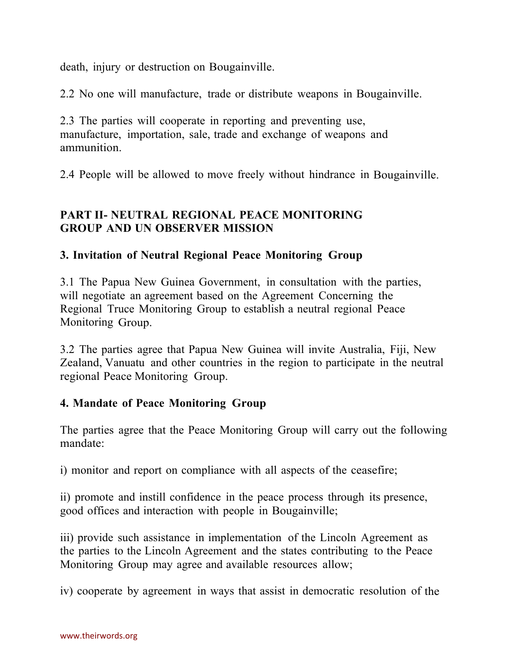death, injury or destruction on Bougainville.

2.2 No one will manufacture, trade or distribute weapons in Bougainville.

2.3 The parties will cooperate in reporting and preventing use, manufacture, importation, sale, trade and exchange of weapons and ammunition.

2.4 People will be allowed to move freely without hindrance in Bougainville.

## **PART II- NEUTRAL REGIONAL PEACE MONITORING GROUP AND UN OBSERVER MISSION**

### **3. Invitation of Neutral Regional Peace Monitoring Group**

3.1 The Papua New Guinea Government, in consultation with the parties, will negotiate an agreement based on the Agreement Concerning the Regional Truce Monitoring Group to establish a neutral regional Peace Monitoring Group.

3.2 The parties agree that Papua New Guinea will invite Australia, Fiji, New Zealand, Vanuatu and other countries in the region to participate in the neutral regional Peace Monitoring Group.

### **4. Mandate of Peace Monitoring Group**

The parties agree that the Peace Monitoring Group will carry out the following mandate:

i) monitor and report on compliance with all aspects of the ceasefire;

ii) promote and instill confidence in the peace process through its presence, good offices and interaction with people in Bougainville;

iii) provide such assistance in implementation of the Lincoln Agreement as the parties to the Lincoln Agreement and the states contributing to the Peace Monitoring Group may agree and available resources allow;

iv) cooperate by agreement in ways that assist in democratic resolution of the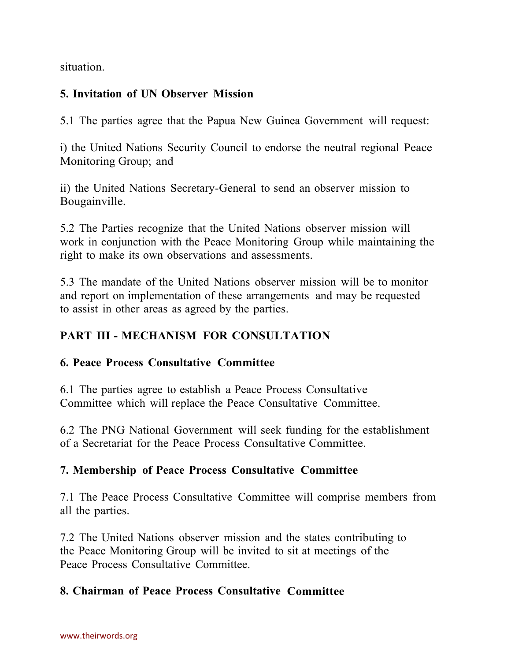situation.

## **5. Invitation of UN Observer Mission**

5.1 The parties agree that the Papua New Guinea Government will request:

i) the United Nations Security Council to endorse the neutral regional Peace Monitoring Group; and

ii) the United Nations Secretary-General to send an observer mission to Bougainville.

5.2 The Parties recognize that the United Nations observer mission will work in conjunction with the Peace Monitoring Group while maintaining the right to make its own observations and assessments.

5.3 The mandate of the United Nations observer mission will be to monitor and report on implementation of these arrangements and may be requested to assist in other areas as agreed by the parties.

# **PART III - MECHANISM FOR CONSULTATION**

### **6. Peace Process Consultative Committee**

6.1 The parties agree to establish a Peace Process Consultative Committee which will replace the Peace Consultative Committee.

6.2 The PNG National Government will seek funding for the establishment of a Secretariat for the Peace Process Consultative Committee.

# **7. Membership of Peace Process Consultative Committee**

7.1 The Peace Process Consultative Committee will comprise members from all the parties.

7.2 The United Nations observer mission and the states contributing to the Peace Monitoring Group will be invited to sit at meetings of the Peace Process Consultative Committee.

### **8. Chairman of Peace Process Consultative Committee**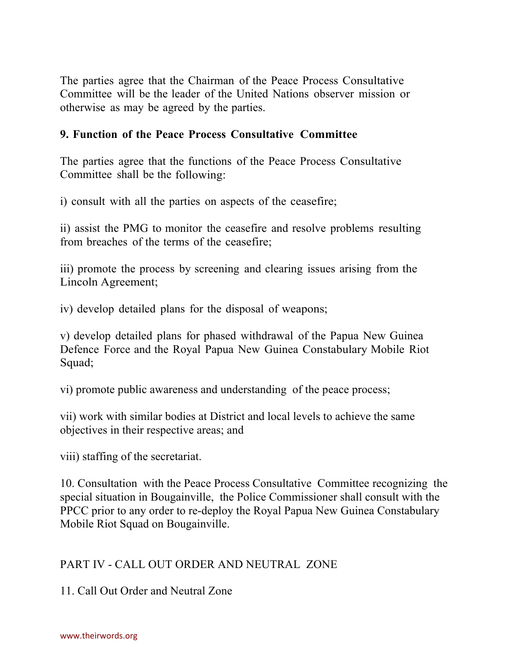The parties agree that the Chairman of the Peace Process Consultative Committee will be the leader of the United Nations observer mission or otherwise as may be agreed by the parties.

### **9. Function of the Peace Process Consultative Committee**

The parties agree that the functions of the Peace Process Consultative Committee shall be the following:

i) consult with all the parties on aspects of the ceasefire;

ii) assist the PMG to monitor the ceasefire and resolve problems resulting from breaches of the terms of the ceasefire;

iii) promote the process by screening and clearing issues arising from the Lincoln Agreement;

iv) develop detailed plans for the disposal of weapons;

v) develop detailed plans for phased withdrawal of the Papua New Guinea Defence Force and the Royal Papua New Guinea Constabulary Mobile Riot Squad;

vi) promote public awareness and understanding of the peace process;

vii) work with similar bodies at District and local levels to achieve the same objectives in their respective areas; and

viii) staffing of the secretariat.

10. Consultation with the Peace Process Consultative Committee recognizing the special situation in Bougainville, the Police Commissioner shall consult with the PPCC prior to any order to re-deploy the Royal Papua New Guinea Constabulary Mobile Riot Squad on Bougainville.

### PART IV - CALL OUT ORDER AND NEUTRAL ZONE

11. Call Out Order and Neutral Zone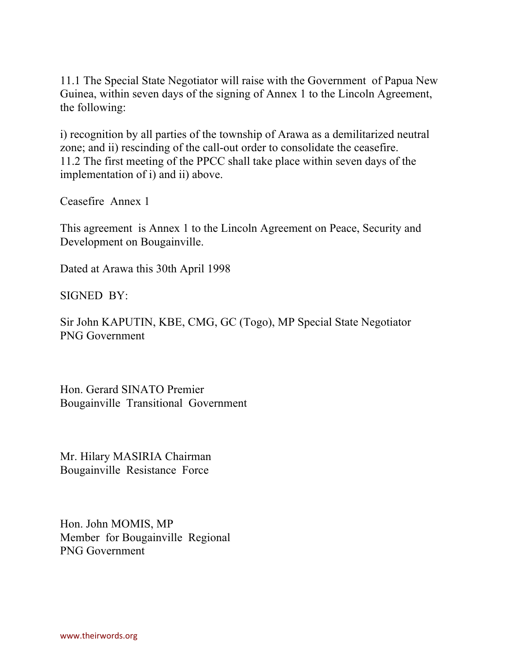11.1 The Special State Negotiator will raise with the Government of Papua New Guinea, within seven days of the signing of Annex 1 to the Lincoln Agreement, the following:

i) recognition by all parties of the township of Arawa as a demilitarized neutral zone; and ii) rescinding of the call-out order to consolidate the ceasefire. 11.2 The first meeting of the PPCC shall take place within seven days of the implementation of i) and ii) above.

Ceasefire Annex 1

This agreement is Annex 1 to the Lincoln Agreement on Peace, Security and Development on Bougainville.

Dated at Arawa this 30th April 1998

SIGNED BY:

Sir John KAPUTIN, KBE, CMG, GC (Togo), MP Special State Negotiator PNG Government

Hon. Gerard SINATO Premier Bougainville Transitional Government

Mr. Hilary MASIRIA Chairman Bougainville Resistance Force

Hon. John MOMIS, MP Member for Bougainville Regional PNG Government